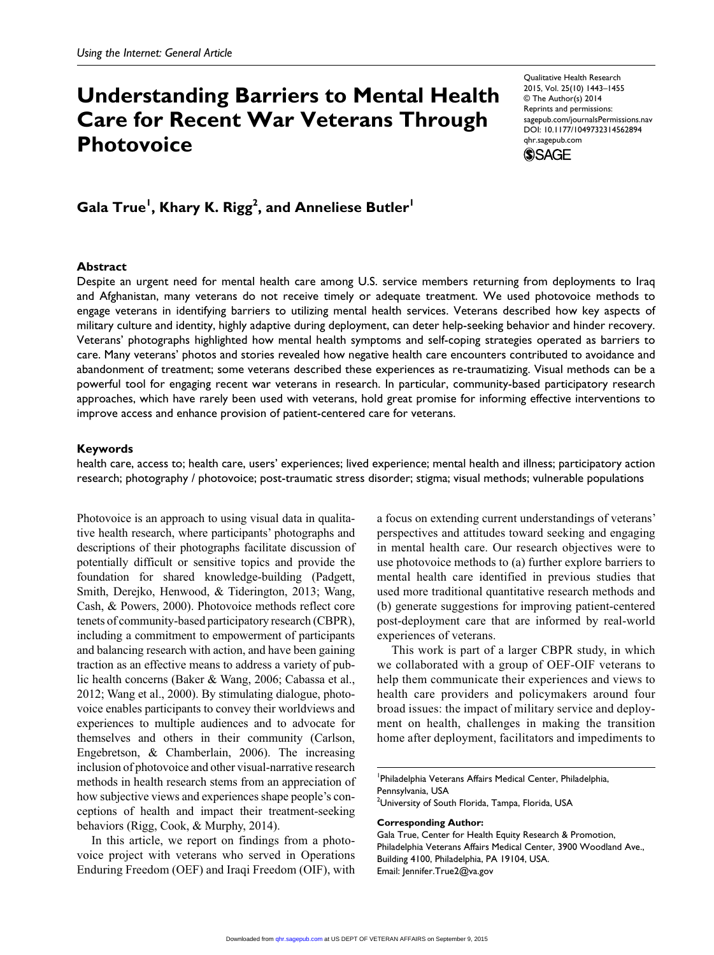## **Understanding Barriers to Mental Health Care for Recent War Veterans Through Photovoice**

Qualitative Health Research 2015, Vol. 25(10) 1443–1455 © The Author(s) 2014 Reprints and permissions: sagepub.com/journalsPermissions.nav DOI: 10.1177/1049732314562894 qhr.sagepub.com



 $\mathsf{G}$ ala True<sup>1</sup>, Khary K. Rigg<sup>2</sup>, and Anneliese Butler<sup>1</sup>

## **Abstract**

Despite an urgent need for mental health care among U.S. service members returning from deployments to Iraq and Afghanistan, many veterans do not receive timely or adequate treatment. We used photovoice methods to engage veterans in identifying barriers to utilizing mental health services. Veterans described how key aspects of military culture and identity, highly adaptive during deployment, can deter help-seeking behavior and hinder recovery. Veterans' photographs highlighted how mental health symptoms and self-coping strategies operated as barriers to care. Many veterans' photos and stories revealed how negative health care encounters contributed to avoidance and abandonment of treatment; some veterans described these experiences as re-traumatizing. Visual methods can be a powerful tool for engaging recent war veterans in research. In particular, community-based participatory research approaches, which have rarely been used with veterans, hold great promise for informing effective interventions to improve access and enhance provision of patient-centered care for veterans.

## **Keywords**

health care, access to; health care, users' experiences; lived experience; mental health and illness; participatory action research; photography / photovoice; post-traumatic stress disorder; stigma; visual methods; vulnerable populations

Photovoice is an approach to using visual data in qualitative health research, where participants' photographs and descriptions of their photographs facilitate discussion of potentially difficult or sensitive topics and provide the foundation for shared knowledge-building (Padgett, Smith, Derejko, Henwood, & Tiderington, 2013; Wang, Cash, & Powers, 2000). Photovoice methods reflect core tenets of community-based participatory research (CBPR), including a commitment to empowerment of participants and balancing research with action, and have been gaining traction as an effective means to address a variety of public health concerns (Baker & Wang, 2006; Cabassa et al., 2012; Wang et al., 2000). By stimulating dialogue, photovoice enables participants to convey their worldviews and experiences to multiple audiences and to advocate for themselves and others in their community (Carlson, Engebretson, & Chamberlain, 2006). The increasing inclusion of photovoice and other visual-narrative research methods in health research stems from an appreciation of how subjective views and experiences shape people's conceptions of health and impact their treatment-seeking behaviors (Rigg, Cook, & Murphy, 2014).

In this article, we report on findings from a photovoice project with veterans who served in Operations Enduring Freedom (OEF) and Iraqi Freedom (OIF), with a focus on extending current understandings of veterans' perspectives and attitudes toward seeking and engaging in mental health care. Our research objectives were to use photovoice methods to (a) further explore barriers to mental health care identified in previous studies that used more traditional quantitative research methods and (b) generate suggestions for improving patient-centered post-deployment care that are informed by real-world experiences of veterans.

This work is part of a larger CBPR study, in which we collaborated with a group of OEF-OIF veterans to help them communicate their experiences and views to health care providers and policymakers around four broad issues: the impact of military service and deployment on health, challenges in making the transition home after deployment, facilitators and impediments to

<sup>1</sup>Philadelphia Veterans Affairs Medical Center, Philadelphia, Pennsylvania, USA

**Corresponding Author:**

Gala True, Center for Health Equity Research & Promotion, Philadelphia Veterans Affairs Medical Center, 3900 Woodland Ave., Building 4100, Philadelphia, PA 19104, USA. Email: [Jennifer.True2@va.gov](mailto:Jennifer.True2@va.gov)

<sup>&</sup>lt;sup>2</sup>University of South Florida, Tampa, Florida, USA